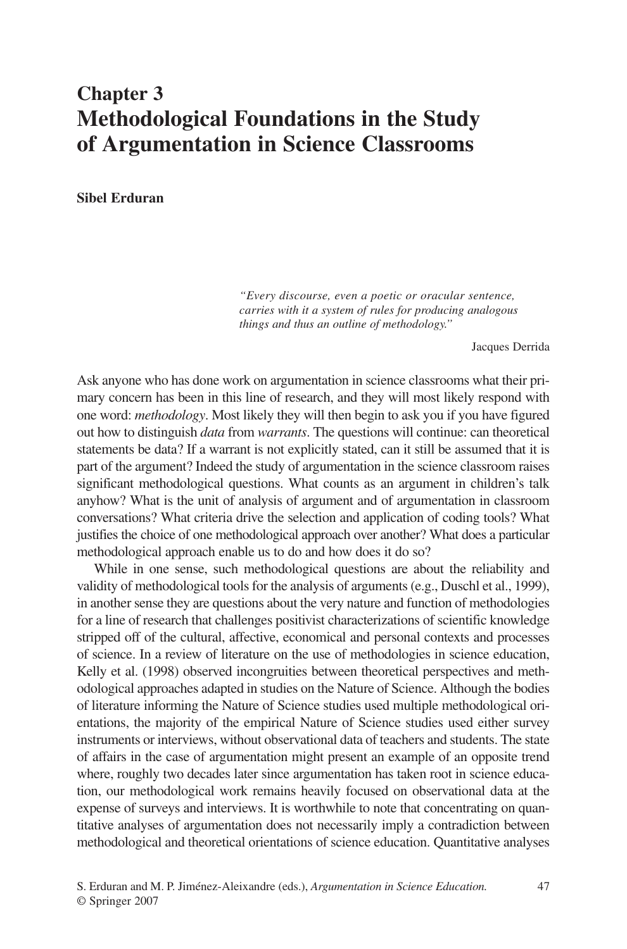# **Chapter 3 Methodological Foundations in the Study of Argumentation in Science Classrooms**

**Sibel Erduran**

*"Every discourse, even a poetic or oracular sentence, carries with it a system of rules for producing analogous things and thus an outline of methodology.''*

Jacques Derrida

Ask anyone who has done work on argumentation in science classrooms what their primary concern has been in this line of research, and they will most likely respond with one word: *methodology*. Most likely they will then begin to ask you if you have figured out how to distinguish *data* from *warrants*. The questions will continue: can theoretical statements be data? If a warrant is not explicitly stated, can it still be assumed that it is part of the argument? Indeed the study of argumentation in the science classroom raises significant methodological questions. What counts as an argument in children's talk anyhow? What is the unit of analysis of argument and of argumentation in classroom conversations? What criteria drive the selection and application of coding tools? What justifies the choice of one methodological approach over another? What does a particular methodological approach enable us to do and how does it do so?

While in one sense, such methodological questions are about the reliability and validity of methodological tools for the analysis of arguments (e.g., Duschl et al., 1999), in another sense they are questions about the very nature and function of methodologies for a line of research that challenges positivist characterizations of scientific knowledge stripped off of the cultural, affective, economical and personal contexts and processes of science. In a review of literature on the use of methodologies in science education, Kelly et al. (1998) observed incongruities between theoretical perspectives and methodological approaches adapted in studies on the Nature of Science. Although the bodies of literature informing the Nature of Science studies used multiple methodological orientations, the majority of the empirical Nature of Science studies used either survey instruments or interviews, without observational data of teachers and students. The state of affairs in the case of argumentation might present an example of an opposite trend where, roughly two decades later since argumentation has taken root in science education, our methodological work remains heavily focused on observational data at the expense of surveys and interviews. It is worthwhile to note that concentrating on quantitative analyses of argumentation does not necessarily imply a contradiction between methodological and theoretical orientations of science education. Quantitative analyses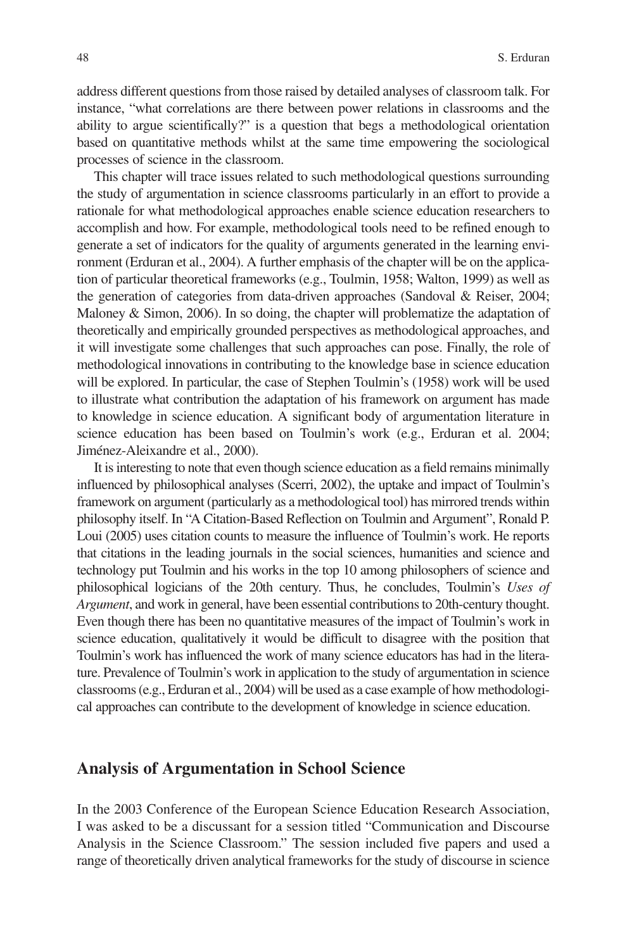address different questions from those raised by detailed analyses of classroom talk. For instance, "what correlations are there between power relations in classrooms and the ability to argue scientifically?" is a question that begs a methodological orientation based on quantitative methods whilst at the same time empowering the sociological processes of science in the classroom.

This chapter will trace issues related to such methodological questions surrounding the study of argumentation in science classrooms particularly in an effort to provide a rationale for what methodological approaches enable science education researchers to accomplish and how. For example, methodological tools need to be refined enough to generate a set of indicators for the quality of arguments generated in the learning environment (Erduran et al., 2004). A further emphasis of the chapter will be on the application of particular theoretical frameworks (e.g., Toulmin, 1958; Walton, 1999) as well as the generation of categories from data-driven approaches (Sandoval & Reiser, 2004; Maloney & Simon, 2006). In so doing, the chapter will problematize the adaptation of theoretically and empirically grounded perspectives as methodological approaches, and it will investigate some challenges that such approaches can pose. Finally, the role of methodological innovations in contributing to the knowledge base in science education will be explored. In particular, the case of Stephen Toulmin's (1958) work will be used to illustrate what contribution the adaptation of his framework on argument has made to knowledge in science education. A significant body of argumentation literature in science education has been based on Toulmin's work (e.g., Erduran et al. 2004; Jiménez-Aleixandre et al., 2000).

It is interesting to note that even though science education as a field remains minimally influenced by philosophical analyses (Scerri, 2002), the uptake and impact of Toulmin's framework on argument (particularly as a methodological tool) has mirrored trends within philosophy itself. In "A Citation-Based Reflection on Toulmin and Argument", Ronald P. Loui (2005) uses citation counts to measure the influence of Toulmin's work. He reports that citations in the leading journals in the social sciences, humanities and science and technology put Toulmin and his works in the top 10 among philosophers of science and philosophical logicians of the 20th century. Thus, he concludes, Toulmin's *Uses of Argument*, and work in general, have been essential contributions to 20th-century thought. Even though there has been no quantitative measures of the impact of Toulmin's work in science education, qualitatively it would be difficult to disagree with the position that Toulmin's work has influenced the work of many science educators has had in the literature. Prevalence of Toulmin's work in application to the study of argumentation in science classrooms (e.g., Erduran et al., 2004) will be used as a case example of how methodological approaches can contribute to the development of knowledge in science education.

#### **Analysis of Argumentation in School Science**

In the 2003 Conference of the European Science Education Research Association, I was asked to be a discussant for a session titled "Communication and Discourse Analysis in the Science Classroom." The session included five papers and used a range of theoretically driven analytical frameworks for the study of discourse in science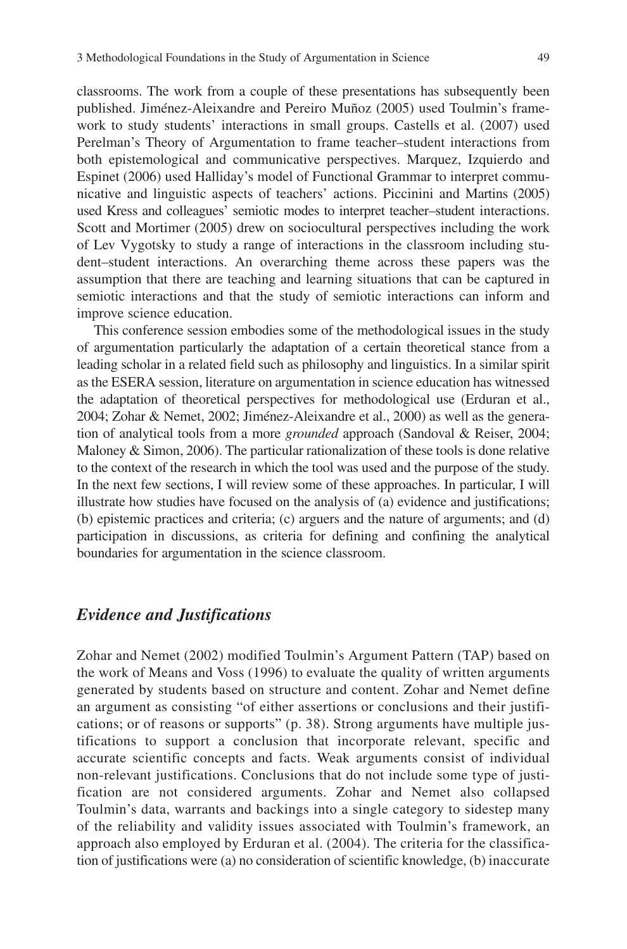classrooms. The work from a couple of these presentations has subsequently been published. Jiménez-Aleixandre and Pereiro Muñoz (2005) used Toulmin's framework to study students' interactions in small groups. Castells et al. (2007) used Perelman's Theory of Argumentation to frame teacher–student interactions from both epistemological and communicative perspectives. Marquez, Izquierdo and Espinet (2006) used Halliday's model of Functional Grammar to interpret communicative and linguistic aspects of teachers' actions. Piccinini and Martins (2005) used Kress and colleagues' semiotic modes to interpret teacher–student interactions. Scott and Mortimer (2005) drew on sociocultural perspectives including the work of Lev Vygotsky to study a range of interactions in the classroom including student–student interactions. An overarching theme across these papers was the assumption that there are teaching and learning situations that can be captured in semiotic interactions and that the study of semiotic interactions can inform and improve science education.

This conference session embodies some of the methodological issues in the study of argumentation particularly the adaptation of a certain theoretical stance from a leading scholar in a related field such as philosophy and linguistics. In a similar spirit as the ESERA session, literature on argumentation in science education has witnessed the adaptation of theoretical perspectives for methodological use (Erduran et al., 2004; Zohar & Nemet, 2002; Jiménez-Aleixandre et al., 2000) as well as the generation of analytical tools from a more *grounded* approach (Sandoval & Reiser, 2004; Maloney & Simon, 2006). The particular rationalization of these tools is done relative to the context of the research in which the tool was used and the purpose of the study. In the next few sections, I will review some of these approaches. In particular, I will illustrate how studies have focused on the analysis of (a) evidence and justifications; (b) epistemic practices and criteria; (c) arguers and the nature of arguments; and (d) participation in discussions, as criteria for defining and confining the analytical boundaries for argumentation in the science classroom.

#### *Evidence and Justifications*

Zohar and Nemet (2002) modified Toulmin's Argument Pattern (TAP) based on the work of Means and Voss (1996) to evaluate the quality of written arguments generated by students based on structure and content. Zohar and Nemet define an argument as consisting "of either assertions or conclusions and their justifications; or of reasons or supports" (p. 38). Strong arguments have multiple justifications to support a conclusion that incorporate relevant, specific and accurate scientific concepts and facts. Weak arguments consist of individual non-relevant justifications. Conclusions that do not include some type of justification are not considered arguments. Zohar and Nemet also collapsed Toulmin's data, warrants and backings into a single category to sidestep many of the reliability and validity issues associated with Toulmin's framework, an approach also employed by Erduran et al. (2004). The criteria for the classification of justifications were (a) no consideration of scientific knowledge, (b) inaccurate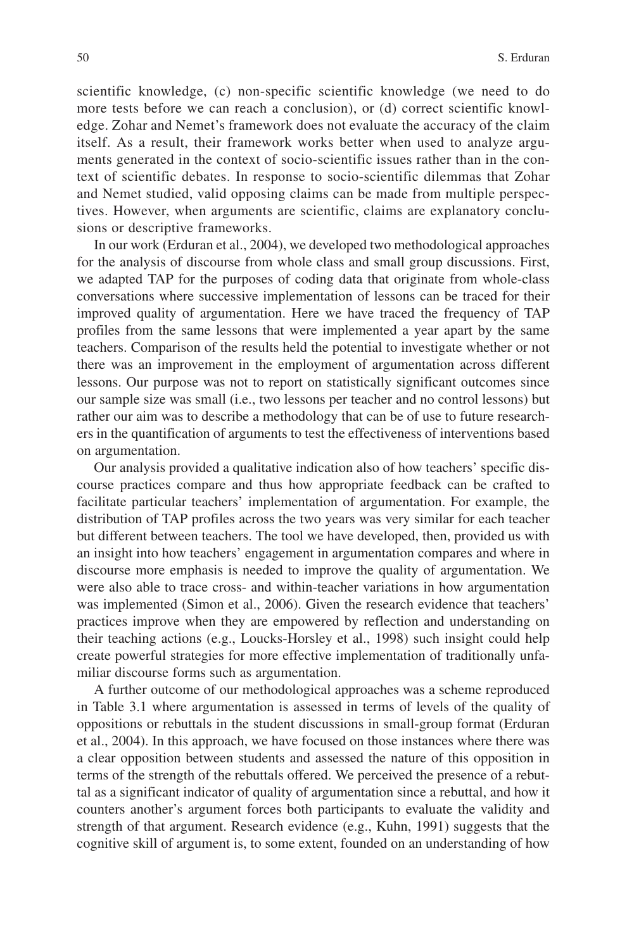scientific knowledge, (c) non-specific scientific knowledge (we need to do more tests before we can reach a conclusion), or (d) correct scientific knowledge. Zohar and Nemet's framework does not evaluate the accuracy of the claim itself. As a result, their framework works better when used to analyze arguments generated in the context of socio-scientific issues rather than in the context of scientific debates. In response to socio-scientific dilemmas that Zohar and Nemet studied, valid opposing claims can be made from multiple perspectives. However, when arguments are scientific, claims are explanatory conclusions or descriptive frameworks.

In our work (Erduran et al., 2004), we developed two methodological approaches for the analysis of discourse from whole class and small group discussions. First, we adapted TAP for the purposes of coding data that originate from whole-class conversations where successive implementation of lessons can be traced for their improved quality of argumentation. Here we have traced the frequency of TAP profiles from the same lessons that were implemented a year apart by the same teachers. Comparison of the results held the potential to investigate whether or not there was an improvement in the employment of argumentation across different lessons. Our purpose was not to report on statistically significant outcomes since our sample size was small (i.e., two lessons per teacher and no control lessons) but rather our aim was to describe a methodology that can be of use to future researchers in the quantification of arguments to test the effectiveness of interventions based on argumentation.

Our analysis provided a qualitative indication also of how teachers' specific discourse practices compare and thus how appropriate feedback can be crafted to facilitate particular teachers' implementation of argumentation. For example, the distribution of TAP profiles across the two years was very similar for each teacher but different between teachers. The tool we have developed, then, provided us with an insight into how teachers' engagement in argumentation compares and where in discourse more emphasis is needed to improve the quality of argumentation. We were also able to trace cross- and within-teacher variations in how argumentation was implemented (Simon et al., 2006). Given the research evidence that teachers' practices improve when they are empowered by reflection and understanding on their teaching actions (e.g., Loucks-Horsley et al., 1998) such insight could help create powerful strategies for more effective implementation of traditionally unfamiliar discourse forms such as argumentation.

A further outcome of our methodological approaches was a scheme reproduced in Table 3.1 where argumentation is assessed in terms of levels of the quality of oppositions or rebuttals in the student discussions in small-group format (Erduran et al., 2004). In this approach, we have focused on those instances where there was a clear opposition between students and assessed the nature of this opposition in terms of the strength of the rebuttals offered. We perceived the presence of a rebuttal as a significant indicator of quality of argumentation since a rebuttal, and how it counters another's argument forces both participants to evaluate the validity and strength of that argument. Research evidence (e.g., Kuhn, 1991) suggests that the cognitive skill of argument is, to some extent, founded on an understanding of how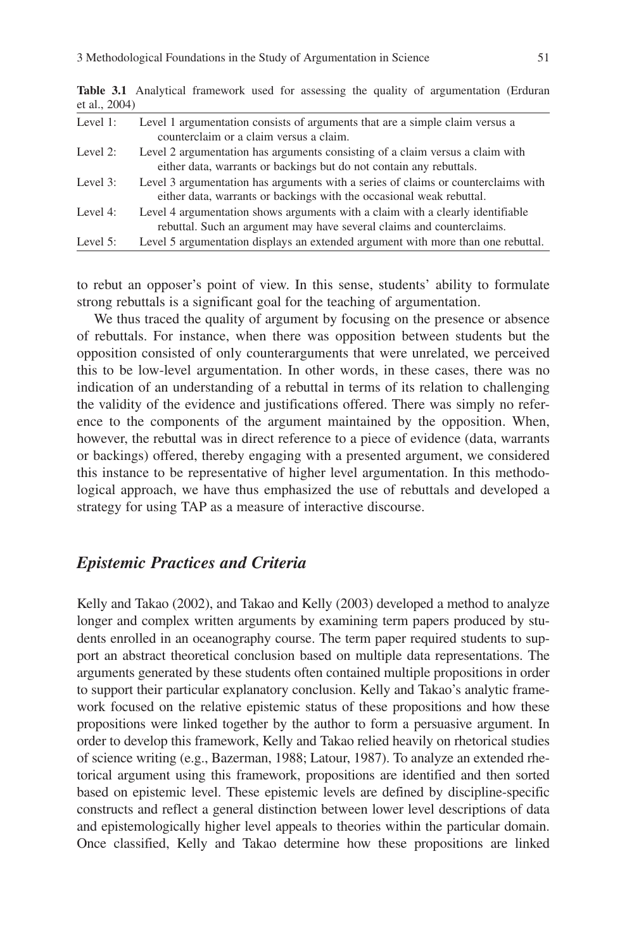| $U$ al., $200 + 1$ |                                                                                                                                                           |  |
|--------------------|-----------------------------------------------------------------------------------------------------------------------------------------------------------|--|
| Level 1:           | Level 1 argumentation consists of arguments that are a simple claim versus a<br>counterclaim or a claim versus a claim.                                   |  |
| Level 2:           | Level 2 argumentation has arguments consisting of a claim versus a claim with<br>either data, warrants or backings but do not contain any rebuttals.      |  |
| Level 3:           | Level 3 argumentation has arguments with a series of claims or counterclaims with<br>either data, warrants or backings with the occasional weak rebuttal. |  |
| Level $4$ :        | Level 4 argumentation shows arguments with a claim with a clearly identifiable<br>rebuttal. Such an argument may have several claims and counterclaims.   |  |
| Level $5:$         | Level 5 argumentation displays an extended argument with more than one rebuttal.                                                                          |  |

**Table 3.1** Analytical framework used for assessing the quality of argumentation (Erduran  $et a1.2004$ 

to rebut an opposer's point of view. In this sense, students' ability to formulate strong rebuttals is a significant goal for the teaching of argumentation.

We thus traced the quality of argument by focusing on the presence or absence of rebuttals. For instance, when there was opposition between students but the opposition consisted of only counterarguments that were unrelated, we perceived this to be low-level argumentation. In other words, in these cases, there was no indication of an understanding of a rebuttal in terms of its relation to challenging the validity of the evidence and justifications offered. There was simply no reference to the components of the argument maintained by the opposition. When, however, the rebuttal was in direct reference to a piece of evidence (data, warrants or backings) offered, thereby engaging with a presented argument, we considered this instance to be representative of higher level argumentation. In this methodological approach, we have thus emphasized the use of rebuttals and developed a strategy for using TAP as a measure of interactive discourse.

#### *Epistemic Practices and Criteria*

Kelly and Takao (2002), and Takao and Kelly (2003) developed a method to analyze longer and complex written arguments by examining term papers produced by students enrolled in an oceanography course. The term paper required students to support an abstract theoretical conclusion based on multiple data representations. The arguments generated by these students often contained multiple propositions in order to support their particular explanatory conclusion. Kelly and Takao's analytic framework focused on the relative epistemic status of these propositions and how these propositions were linked together by the author to form a persuasive argument. In order to develop this framework, Kelly and Takao relied heavily on rhetorical studies of science writing (e.g., Bazerman, 1988; Latour, 1987). To analyze an extended rhetorical argument using this framework, propositions are identified and then sorted based on epistemic level. These epistemic levels are defined by discipline-specific constructs and reflect a general distinction between lower level descriptions of data and epistemologically higher level appeals to theories within the particular domain. Once classified, Kelly and Takao determine how these propositions are linked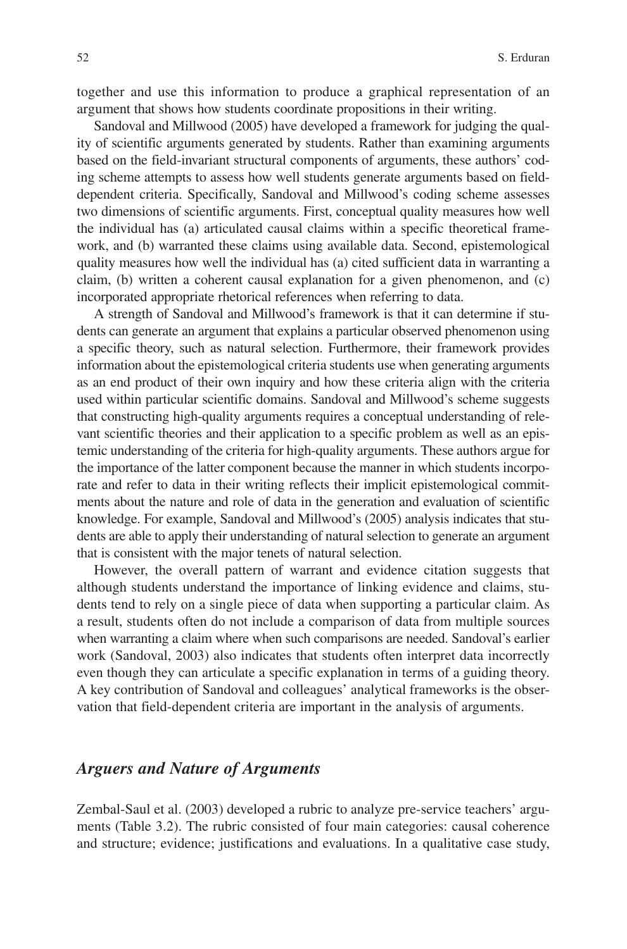together and use this information to produce a graphical representation of an argument that shows how students coordinate propositions in their writing.

Sandoval and Millwood (2005) have developed a framework for judging the quality of scientific arguments generated by students. Rather than examining arguments based on the field-invariant structural components of arguments, these authors' coding scheme attempts to assess how well students generate arguments based on fielddependent criteria. Specifically, Sandoval and Millwood's coding scheme assesses two dimensions of scientific arguments. First, conceptual quality measures how well the individual has (a) articulated causal claims within a specific theoretical framework, and (b) warranted these claims using available data. Second, epistemological quality measures how well the individual has (a) cited sufficient data in warranting a claim, (b) written a coherent causal explanation for a given phenomenon, and (c) incorporated appropriate rhetorical references when referring to data.

A strength of Sandoval and Millwood's framework is that it can determine if students can generate an argument that explains a particular observed phenomenon using a specific theory, such as natural selection. Furthermore, their framework provides information about the epistemological criteria students use when generating arguments as an end product of their own inquiry and how these criteria align with the criteria used within particular scientific domains. Sandoval and Millwood's scheme suggests that constructing high-quality arguments requires a conceptual understanding of relevant scientific theories and their application to a specific problem as well as an epistemic understanding of the criteria for high-quality arguments. These authors argue for the importance of the latter component because the manner in which students incorporate and refer to data in their writing reflects their implicit epistemological commitments about the nature and role of data in the generation and evaluation of scientific knowledge. For example, Sandoval and Millwood's (2005) analysis indicates that students are able to apply their understanding of natural selection to generate an argument that is consistent with the major tenets of natural selection.

However, the overall pattern of warrant and evidence citation suggests that although students understand the importance of linking evidence and claims, students tend to rely on a single piece of data when supporting a particular claim. As a result, students often do not include a comparison of data from multiple sources when warranting a claim where when such comparisons are needed. Sandoval's earlier work (Sandoval, 2003) also indicates that students often interpret data incorrectly even though they can articulate a specific explanation in terms of a guiding theory. A key contribution of Sandoval and colleagues' analytical frameworks is the observation that field-dependent criteria are important in the analysis of arguments.

#### *Arguers and Nature of Arguments*

Zembal-Saul et al. (2003) developed a rubric to analyze pre-service teachers' arguments (Table 3.2). The rubric consisted of four main categories: causal coherence and structure; evidence; justifications and evaluations. In a qualitative case study,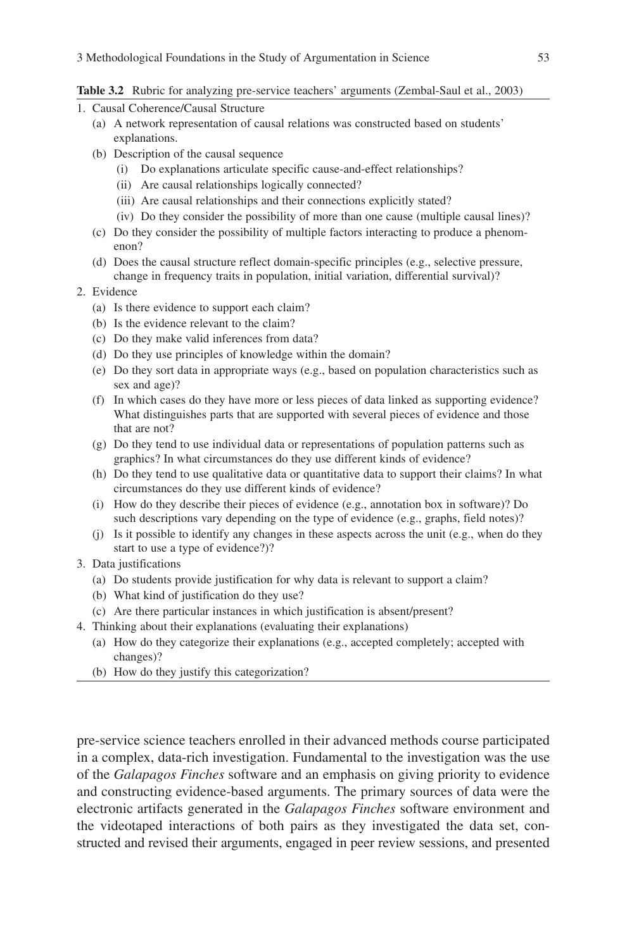#### **Table 3.2** Rubric for analyzing pre-service teachers' arguments (Zembal-Saul et al., 2003)

- 1. Causal Coherence/Causal Structure
	- (a) A network representation of causal relations was constructed based on students' explanations.
	- (b) Description of the causal sequence
		- (i) Do explanations articulate specific cause-and-effect relationships?
		- (ii) Are causal relationships logically connected?
		- (iii) Are causal relationships and their connections explicitly stated?
		- (iv) Do they consider the possibility of more than one cause (multiple causal lines)?
	- (c) Do they consider the possibility of multiple factors interacting to produce a phenomenon?
	- (d) Does the causal structure reflect domain-specific principles (e.g., selective pressure, change in frequency traits in population, initial variation, differential survival)?
- 2. Evidence
	- (a) Is there evidence to support each claim?
	- (b) Is the evidence relevant to the claim?
	- (c) Do they make valid inferences from data?
	- (d) Do they use principles of knowledge within the domain?
	- (e) Do they sort data in appropriate ways (e.g., based on population characteristics such as sex and age)?
	- (f) In which cases do they have more or less pieces of data linked as supporting evidence? What distinguishes parts that are supported with several pieces of evidence and those that are not?
	- (g) Do they tend to use individual data or representations of population patterns such as graphics? In what circumstances do they use different kinds of evidence?
	- (h) Do they tend to use qualitative data or quantitative data to support their claims? In what circumstances do they use different kinds of evidence?
	- (i) How do they describe their pieces of evidence (e.g., annotation box in software)? Do such descriptions vary depending on the type of evidence (e.g., graphs, field notes)?
	- (i) Is it possible to identify any changes in these aspects across the unit (e.g., when do they start to use a type of evidence?)?
- 3. Data justifications
	- (a) Do students provide justification for why data is relevant to support a claim?
	- (b) What kind of justification do they use?
	- (c) Are there particular instances in which justification is absent/present?
- 4. Thinking about their explanations (evaluating their explanations)
	- (a) How do they categorize their explanations (e.g., accepted completely; accepted with changes)?
	- (b) How do they justify this categorization?

pre-service science teachers enrolled in their advanced methods course participated in a complex, data-rich investigation. Fundamental to the investigation was the use of the *Galapagos Finches* software and an emphasis on giving priority to evidence and constructing evidence-based arguments. The primary sources of data were the electronic artifacts generated in the *Galapagos Finches* software environment and the videotaped interactions of both pairs as they investigated the data set, constructed and revised their arguments, engaged in peer review sessions, and presented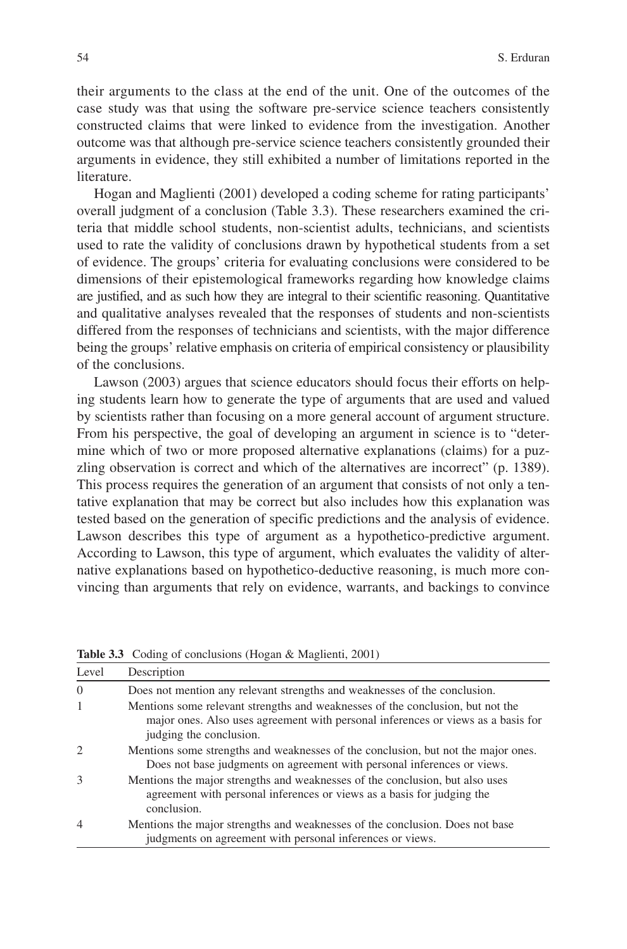their arguments to the class at the end of the unit. One of the outcomes of the case study was that using the software pre-service science teachers consistently constructed claims that were linked to evidence from the investigation. Another outcome was that although pre-service science teachers consistently grounded their arguments in evidence, they still exhibited a number of limitations reported in the literature.

Hogan and Maglienti (2001) developed a coding scheme for rating participants' overall judgment of a conclusion (Table 3.3). These researchers examined the criteria that middle school students, non-scientist adults, technicians, and scientists used to rate the validity of conclusions drawn by hypothetical students from a set of evidence. The groups' criteria for evaluating conclusions were considered to be dimensions of their epistemological frameworks regarding how knowledge claims are justified, and as such how they are integral to their scientific reasoning. Quantitative and qualitative analyses revealed that the responses of students and non-scientists differed from the responses of technicians and scientists, with the major difference being the groups' relative emphasis on criteria of empirical consistency or plausibility of the conclusions.

Lawson (2003) argues that science educators should focus their efforts on helping students learn how to generate the type of arguments that are used and valued by scientists rather than focusing on a more general account of argument structure. From his perspective, the goal of developing an argument in science is to "determine which of two or more proposed alternative explanations (claims) for a puzzling observation is correct and which of the alternatives are incorrect" (p. 1389). This process requires the generation of an argument that consists of not only a tentative explanation that may be correct but also includes how this explanation was tested based on the generation of specific predictions and the analysis of evidence. Lawson describes this type of argument as a hypothetico-predictive argument. According to Lawson, this type of argument, which evaluates the validity of alternative explanations based on hypothetico-deductive reasoning, is much more convincing than arguments that rely on evidence, warrants, and backings to convince

| Level          | Description                                                                                                                                                                                   |
|----------------|-----------------------------------------------------------------------------------------------------------------------------------------------------------------------------------------------|
| $\Omega$       | Does not mention any relevant strengths and weaknesses of the conclusion.                                                                                                                     |
| 1              | Mentions some relevant strengths and weaknesses of the conclusion, but not the<br>major ones. Also uses agreement with personal inferences or views as a basis for<br>judging the conclusion. |
| 2              | Mentions some strengths and weaknesses of the conclusion, but not the major ones.<br>Does not base judgments on agreement with personal inferences or views.                                  |
| 3              | Mentions the major strengths and weaknesses of the conclusion, but also uses<br>agreement with personal inferences or views as a basis for judging the<br>conclusion.                         |
| $\overline{4}$ | Mentions the major strengths and weaknesses of the conclusion. Does not base<br>judgments on agreement with personal inferences or views.                                                     |

**Table 3.3** Coding of conclusions (Hogan & Maglienti, 2001)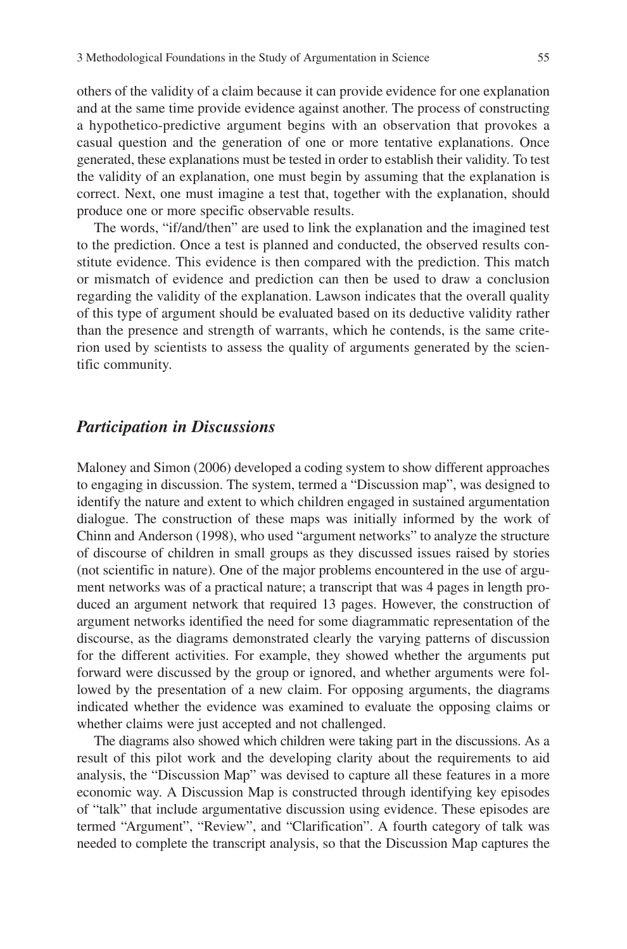produce one or more specific observable results.

others of the validity of a claim because it can provide evidence for one explanation and at the same time provide evidence against another. The process of constructing a hypothetico-predictive argument begins with an observation that provokes a casual question and the generation of one or more tentative explanations. Once generated, these explanations must be tested in order to establish their validity. To test the validity of an explanation, one must begin by assuming that the explanation is

The words, "if/and/then" are used to link the explanation and the imagined test to the prediction. Once a test is planned and conducted, the observed results constitute evidence. This evidence is then compared with the prediction. This match or mismatch of evidence and prediction can then be used to draw a conclusion regarding the validity of the explanation. Lawson indicates that the overall quality of this type of argument should be evaluated based on its deductive validity rather than the presence and strength of warrants, which he contends, is the same criterion used by scientists to assess the quality of arguments generated by the scientific community.

correct. Next, one must imagine a test that, together with the explanation, should

#### *Participation in Discussions*

Maloney and Simon (2006) developed a coding system to show different approaches to engaging in discussion. The system, termed a "Discussion map", was designed to identify the nature and extent to which children engaged in sustained argumentation dialogue. The construction of these maps was initially informed by the work of Chinn and Anderson (1998), who used "argument networks" to analyze the structure of discourse of children in small groups as they discussed issues raised by stories (not scientific in nature). One of the major problems encountered in the use of argument networks was of a practical nature; a transcript that was 4 pages in length produced an argument network that required 13 pages. However, the construction of argument networks identified the need for some diagrammatic representation of the discourse, as the diagrams demonstrated clearly the varying patterns of discussion for the different activities. For example, they showed whether the arguments put forward were discussed by the group or ignored, and whether arguments were followed by the presentation of a new claim. For opposing arguments, the diagrams indicated whether the evidence was examined to evaluate the opposing claims or whether claims were just accepted and not challenged.

The diagrams also showed which children were taking part in the discussions. As a result of this pilot work and the developing clarity about the requirements to aid analysis, the "Discussion Map" was devised to capture all these features in a more economic way. A Discussion Map is constructed through identifying key episodes of "talk" that include argumentative discussion using evidence. These episodes are termed "Argument", "Review", and "Clarification". A fourth category of talk was needed to complete the transcript analysis, so that the Discussion Map captures the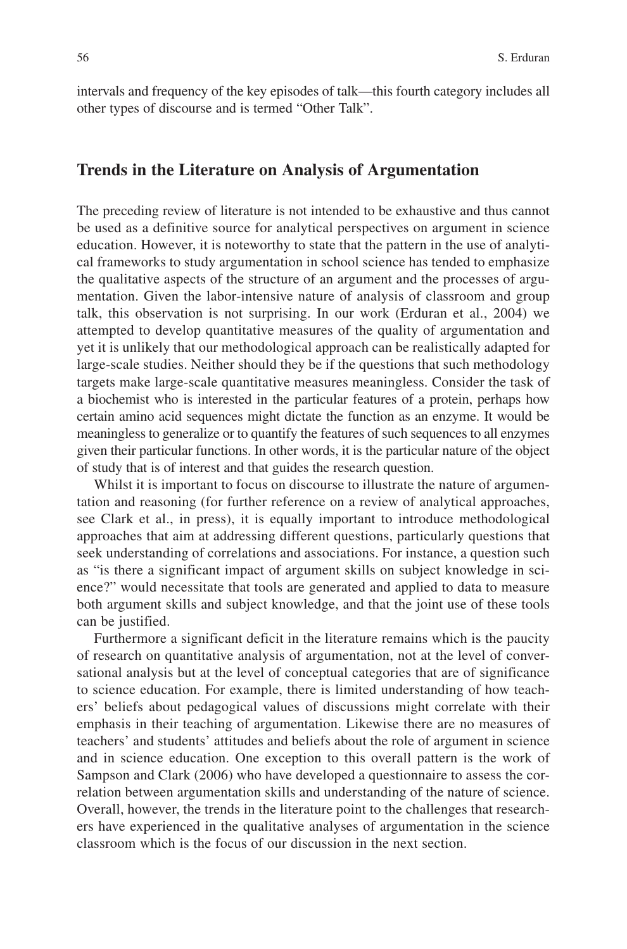intervals and frequency of the key episodes of talk—this fourth category includes all other types of discourse and is termed "Other Talk".

#### **Trends in the Literature on Analysis of Argumentation**

The preceding review of literature is not intended to be exhaustive and thus cannot be used as a definitive source for analytical perspectives on argument in science education. However, it is noteworthy to state that the pattern in the use of analytical frameworks to study argumentation in school science has tended to emphasize the qualitative aspects of the structure of an argument and the processes of argumentation. Given the labor-intensive nature of analysis of classroom and group talk, this observation is not surprising. In our work (Erduran et al., 2004) we attempted to develop quantitative measures of the quality of argumentation and yet it is unlikely that our methodological approach can be realistically adapted for large-scale studies. Neither should they be if the questions that such methodology targets make large-scale quantitative measures meaningless. Consider the task of a biochemist who is interested in the particular features of a protein, perhaps how certain amino acid sequences might dictate the function as an enzyme. It would be meaningless to generalize or to quantify the features of such sequences to all enzymes given their particular functions. In other words, it is the particular nature of the object of study that is of interest and that guides the research question.

Whilst it is important to focus on discourse to illustrate the nature of argumentation and reasoning (for further reference on a review of analytical approaches, see Clark et al., in press), it is equally important to introduce methodological approaches that aim at addressing different questions, particularly questions that seek understanding of correlations and associations. For instance, a question such as "is there a significant impact of argument skills on subject knowledge in science?" would necessitate that tools are generated and applied to data to measure both argument skills and subject knowledge, and that the joint use of these tools can be justified.

Furthermore a significant deficit in the literature remains which is the paucity of research on quantitative analysis of argumentation, not at the level of conversational analysis but at the level of conceptual categories that are of significance to science education. For example, there is limited understanding of how teachers' beliefs about pedagogical values of discussions might correlate with their emphasis in their teaching of argumentation. Likewise there are no measures of teachers' and students' attitudes and beliefs about the role of argument in science and in science education. One exception to this overall pattern is the work of Sampson and Clark (2006) who have developed a questionnaire to assess the correlation between argumentation skills and understanding of the nature of science. Overall, however, the trends in the literature point to the challenges that researchers have experienced in the qualitative analyses of argumentation in the science classroom which is the focus of our discussion in the next section.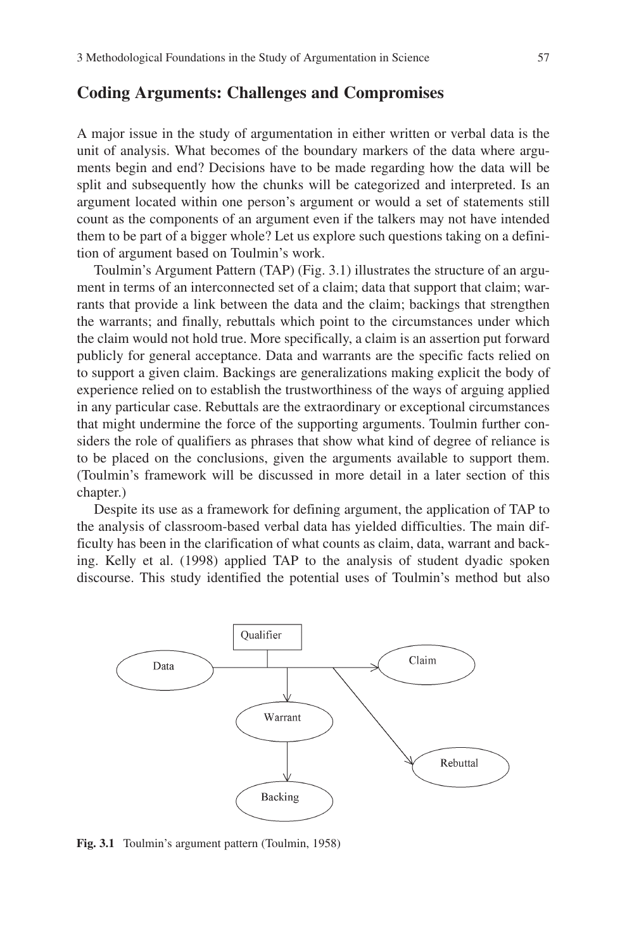#### **Coding Arguments: Challenges and Compromises**

A major issue in the study of argumentation in either written or verbal data is the unit of analysis. What becomes of the boundary markers of the data where arguments begin and end? Decisions have to be made regarding how the data will be split and subsequently how the chunks will be categorized and interpreted. Is an argument located within one person's argument or would a set of statements still count as the components of an argument even if the talkers may not have intended them to be part of a bigger whole? Let us explore such questions taking on a definition of argument based on Toulmin's work.

Toulmin's Argument Pattern (TAP) (Fig. 3.1) illustrates the structure of an argument in terms of an interconnected set of a claim; data that support that claim; warrants that provide a link between the data and the claim; backings that strengthen the warrants; and finally, rebuttals which point to the circumstances under which the claim would not hold true. More specifically, a claim is an assertion put forward publicly for general acceptance. Data and warrants are the specific facts relied on to support a given claim. Backings are generalizations making explicit the body of experience relied on to establish the trustworthiness of the ways of arguing applied in any particular case. Rebuttals are the extraordinary or exceptional circumstances that might undermine the force of the supporting arguments. Toulmin further considers the role of qualifiers as phrases that show what kind of degree of reliance is to be placed on the conclusions, given the arguments available to support them. (Toulmin's framework will be discussed in more detail in a later section of this chapter.)

Despite its use as a framework for defining argument, the application of TAP to the analysis of classroom-based verbal data has yielded difficulties. The main difficulty has been in the clarification of what counts as claim, data, warrant and backing. Kelly et al. (1998) applied TAP to the analysis of student dyadic spoken discourse. This study identified the potential uses of Toulmin's method but also



**Fig. 3.1** Toulmin's argument pattern (Toulmin, 1958)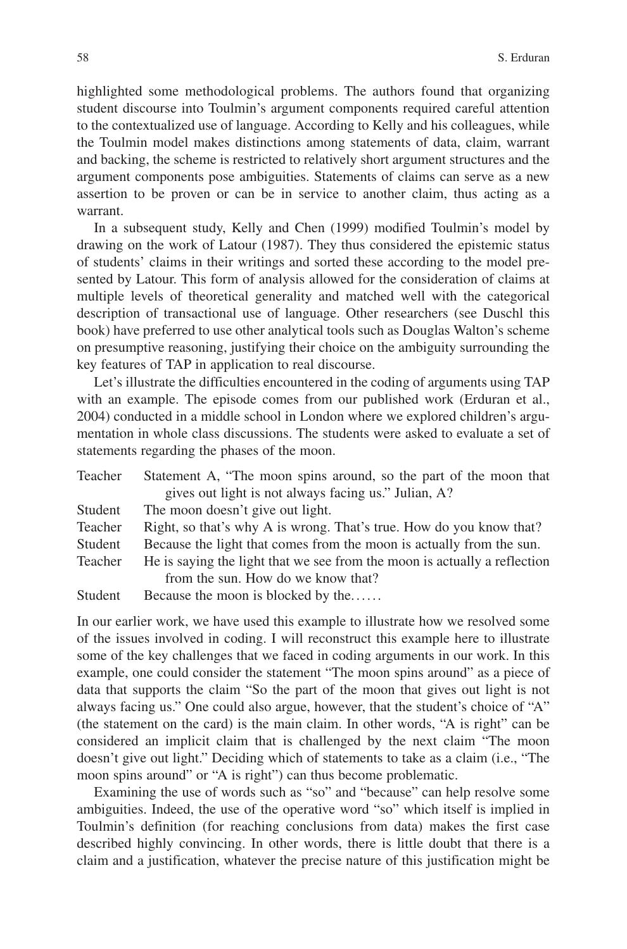highlighted some methodological problems. The authors found that organizing student discourse into Toulmin's argument components required careful attention to the contextualized use of language. According to Kelly and his colleagues, while the Toulmin model makes distinctions among statements of data, claim, warrant and backing, the scheme is restricted to relatively short argument structures and the argument components pose ambiguities. Statements of claims can serve as a new assertion to be proven or can be in service to another claim, thus acting as a warrant.

In a subsequent study, Kelly and Chen (1999) modified Toulmin's model by drawing on the work of Latour (1987). They thus considered the epistemic status of students' claims in their writings and sorted these according to the model presented by Latour. This form of analysis allowed for the consideration of claims at multiple levels of theoretical generality and matched well with the categorical description of transactional use of language. Other researchers (see Duschl this book) have preferred to use other analytical tools such as Douglas Walton's scheme on presumptive reasoning, justifying their choice on the ambiguity surrounding the key features of TAP in application to real discourse.

Let's illustrate the difficulties encountered in the coding of arguments using TAP with an example. The episode comes from our published work (Erduran et al., 2004) conducted in a middle school in London where we explored children's argumentation in whole class discussions. The students were asked to evaluate a set of statements regarding the phases of the moon.

| Teacher | Statement A, "The moon spins around, so the part of the moon that         |
|---------|---------------------------------------------------------------------------|
|         | gives out light is not always facing us." Julian, A?                      |
| Student | The moon doesn't give out light.                                          |
| Teacher | Right, so that's why A is wrong. That's true. How do you know that?       |
| Student | Because the light that comes from the moon is actually from the sun.      |
| Teacher | He is saying the light that we see from the moon is actually a reflection |
|         | from the sun. How do we know that?                                        |
| Student | Because the moon is blocked by the                                        |

In our earlier work, we have used this example to illustrate how we resolved some of the issues involved in coding. I will reconstruct this example here to illustrate some of the key challenges that we faced in coding arguments in our work. In this example, one could consider the statement "The moon spins around" as a piece of data that supports the claim "So the part of the moon that gives out light is not always facing us." One could also argue, however, that the student's choice of "A" (the statement on the card) is the main claim. In other words, "A is right" can be considered an implicit claim that is challenged by the next claim "The moon doesn't give out light." Deciding which of statements to take as a claim (i.e., "The moon spins around" or "A is right") can thus become problematic.

Examining the use of words such as "so" and "because" can help resolve some ambiguities. Indeed, the use of the operative word "so" which itself is implied in Toulmin's definition (for reaching conclusions from data) makes the first case described highly convincing. In other words, there is little doubt that there is a claim and a justification, whatever the precise nature of this justification might be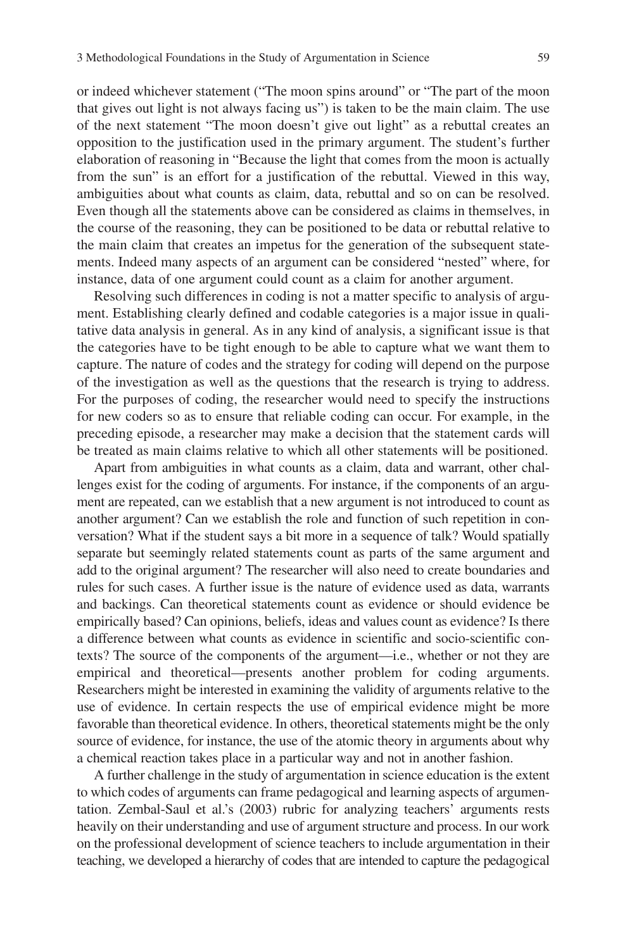or indeed whichever statement ("The moon spins around" or "The part of the moon that gives out light is not always facing us") is taken to be the main claim. The use of the next statement "The moon doesn't give out light" as a rebuttal creates an opposition to the justification used in the primary argument. The student's further elaboration of reasoning in "Because the light that comes from the moon is actually from the sun" is an effort for a justification of the rebuttal. Viewed in this way, ambiguities about what counts as claim, data, rebuttal and so on can be resolved. Even though all the statements above can be considered as claims in themselves, in the course of the reasoning, they can be positioned to be data or rebuttal relative to the main claim that creates an impetus for the generation of the subsequent statements. Indeed many aspects of an argument can be considered "nested" where, for instance, data of one argument could count as a claim for another argument.

Resolving such differences in coding is not a matter specific to analysis of argument. Establishing clearly defined and codable categories is a major issue in qualitative data analysis in general. As in any kind of analysis, a significant issue is that the categories have to be tight enough to be able to capture what we want them to capture. The nature of codes and the strategy for coding will depend on the purpose of the investigation as well as the questions that the research is trying to address. For the purposes of coding, the researcher would need to specify the instructions for new coders so as to ensure that reliable coding can occur. For example, in the preceding episode, a researcher may make a decision that the statement cards will be treated as main claims relative to which all other statements will be positioned.

Apart from ambiguities in what counts as a claim, data and warrant, other challenges exist for the coding of arguments. For instance, if the components of an argument are repeated, can we establish that a new argument is not introduced to count as another argument? Can we establish the role and function of such repetition in conversation? What if the student says a bit more in a sequence of talk? Would spatially separate but seemingly related statements count as parts of the same argument and add to the original argument? The researcher will also need to create boundaries and rules for such cases. A further issue is the nature of evidence used as data, warrants and backings. Can theoretical statements count as evidence or should evidence be empirically based? Can opinions, beliefs, ideas and values count as evidence? Is there a difference between what counts as evidence in scientific and socio-scientific contexts? The source of the components of the argument—i.e., whether or not they are empirical and theoretical—presents another problem for coding arguments. Researchers might be interested in examining the validity of arguments relative to the use of evidence. In certain respects the use of empirical evidence might be more favorable than theoretical evidence. In others, theoretical statements might be the only source of evidence, for instance, the use of the atomic theory in arguments about why a chemical reaction takes place in a particular way and not in another fashion.

A further challenge in the study of argumentation in science education is the extent to which codes of arguments can frame pedagogical and learning aspects of argumentation. Zembal-Saul et al.'s (2003) rubric for analyzing teachers' arguments rests heavily on their understanding and use of argument structure and process. In our work on the professional development of science teachers to include argumentation in their teaching, we developed a hierarchy of codes that are intended to capture the pedagogical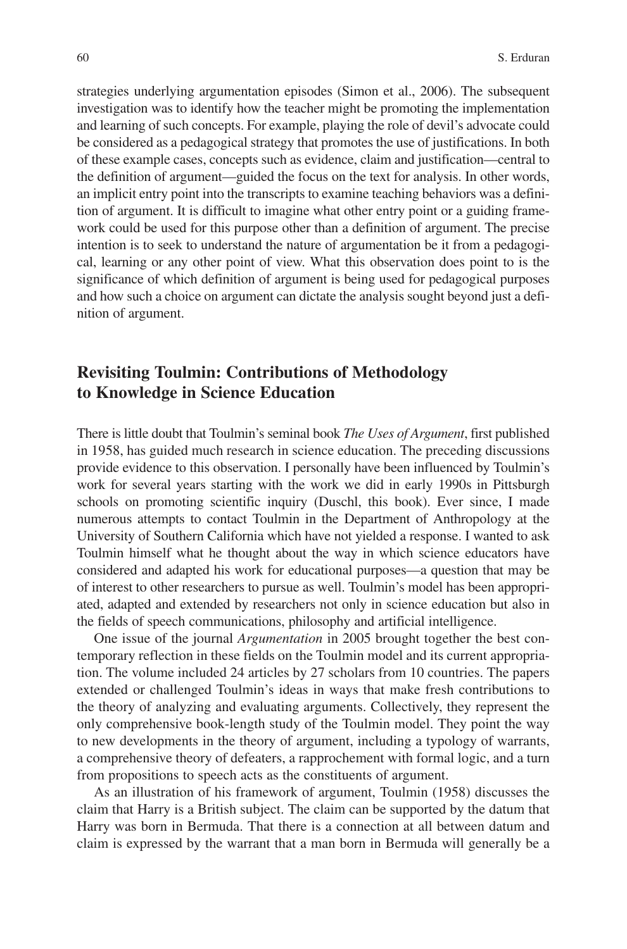strategies underlying argumentation episodes (Simon et al., 2006). The subsequent investigation was to identify how the teacher might be promoting the implementation and learning of such concepts. For example, playing the role of devil's advocate could be considered as a pedagogical strategy that promotes the use of justifications. In both of these example cases, concepts such as evidence, claim and justification—central to the definition of argument—guided the focus on the text for analysis. In other words, an implicit entry point into the transcripts to examine teaching behaviors was a definition of argument. It is difficult to imagine what other entry point or a guiding framework could be used for this purpose other than a definition of argument. The precise intention is to seek to understand the nature of argumentation be it from a pedagogical, learning or any other point of view. What this observation does point to is the significance of which definition of argument is being used for pedagogical purposes and how such a choice on argument can dictate the analysis sought beyond just a definition of argument.

## **Revisiting Toulmin: Contributions of Methodology to Knowledge in Science Education**

There is little doubt that Toulmin's seminal book *The Uses of Argument*, first published in 1958, has guided much research in science education. The preceding discussions provide evidence to this observation. I personally have been influenced by Toulmin's work for several years starting with the work we did in early 1990s in Pittsburgh schools on promoting scientific inquiry (Duschl, this book). Ever since, I made numerous attempts to contact Toulmin in the Department of Anthropology at the University of Southern California which have not yielded a response. I wanted to ask Toulmin himself what he thought about the way in which science educators have considered and adapted his work for educational purposes—a question that may be of interest to other researchers to pursue as well. Toulmin's model has been appropriated, adapted and extended by researchers not only in science education but also in the fields of speech communications, philosophy and artificial intelligence.

One issue of the journal *Argumentation* in 2005 brought together the best contemporary reflection in these fields on the Toulmin model and its current appropriation. The volume included 24 articles by 27 scholars from 10 countries. The papers extended or challenged Toulmin's ideas in ways that make fresh contributions to the theory of analyzing and evaluating arguments. Collectively, they represent the only comprehensive book-length study of the Toulmin model. They point the way to new developments in the theory of argument, including a typology of warrants, a comprehensive theory of defeaters, a rapprochement with formal logic, and a turn from propositions to speech acts as the constituents of argument.

As an illustration of his framework of argument, Toulmin (1958) discusses the claim that Harry is a British subject. The claim can be supported by the datum that Harry was born in Bermuda. That there is a connection at all between datum and claim is expressed by the warrant that a man born in Bermuda will generally be a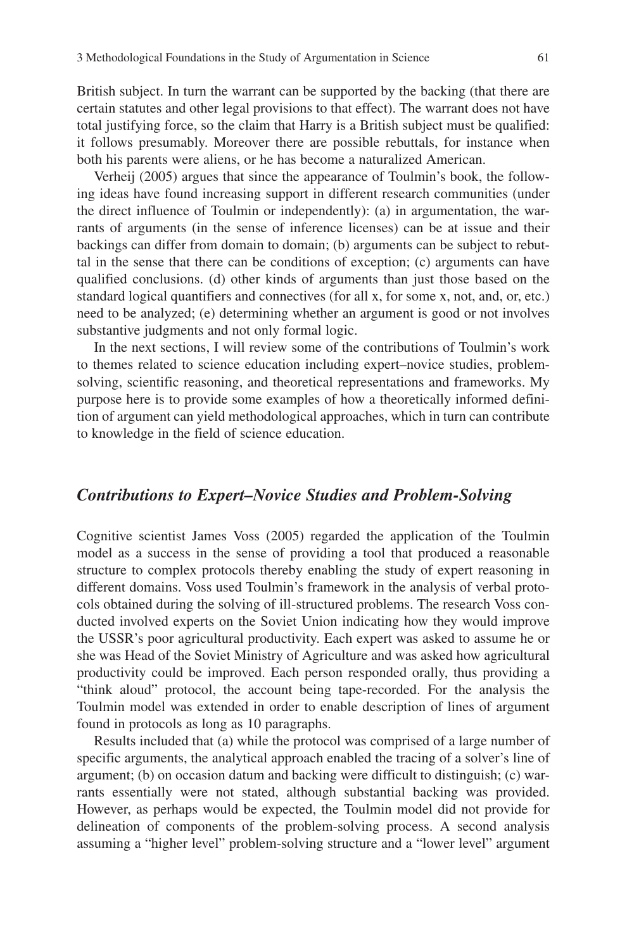British subject. In turn the warrant can be supported by the backing (that there are certain statutes and other legal provisions to that effect). The warrant does not have total justifying force, so the claim that Harry is a British subject must be qualified: it follows presumably. Moreover there are possible rebuttals, for instance when both his parents were aliens, or he has become a naturalized American.

Verheij (2005) argues that since the appearance of Toulmin's book, the following ideas have found increasing support in different research communities (under the direct influence of Toulmin or independently): (a) in argumentation, the warrants of arguments (in the sense of inference licenses) can be at issue and their backings can differ from domain to domain; (b) arguments can be subject to rebuttal in the sense that there can be conditions of exception; (c) arguments can have qualified conclusions. (d) other kinds of arguments than just those based on the standard logical quantifiers and connectives (for all x, for some x, not, and, or, etc.) need to be analyzed; (e) determining whether an argument is good or not involves substantive judgments and not only formal logic.

In the next sections, I will review some of the contributions of Toulmin's work to themes related to science education including expert–novice studies, problemsolving, scientific reasoning, and theoretical representations and frameworks. My purpose here is to provide some examples of how a theoretically informed definition of argument can yield methodological approaches, which in turn can contribute to knowledge in the field of science education.

#### *Contributions to Expert–Novice Studies and Problem-Solving*

Cognitive scientist James Voss (2005) regarded the application of the Toulmin model as a success in the sense of providing a tool that produced a reasonable structure to complex protocols thereby enabling the study of expert reasoning in different domains. Voss used Toulmin's framework in the analysis of verbal protocols obtained during the solving of ill-structured problems. The research Voss conducted involved experts on the Soviet Union indicating how they would improve the USSR's poor agricultural productivity. Each expert was asked to assume he or she was Head of the Soviet Ministry of Agriculture and was asked how agricultural productivity could be improved. Each person responded orally, thus providing a "think aloud" protocol, the account being tape-recorded. For the analysis the Toulmin model was extended in order to enable description of lines of argument found in protocols as long as 10 paragraphs.

Results included that (a) while the protocol was comprised of a large number of specific arguments, the analytical approach enabled the tracing of a solver's line of argument; (b) on occasion datum and backing were difficult to distinguish; (c) warrants essentially were not stated, although substantial backing was provided. However, as perhaps would be expected, the Toulmin model did not provide for delineation of components of the problem-solving process. A second analysis assuming a "higher level" problem-solving structure and a "lower level" argument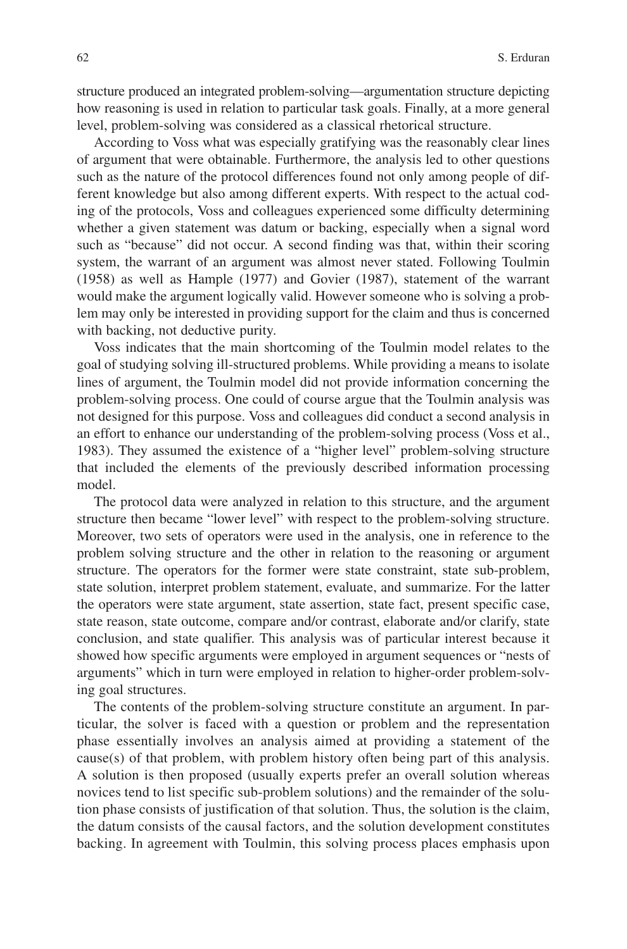structure produced an integrated problem-solving—argumentation structure depicting how reasoning is used in relation to particular task goals. Finally, at a more general level, problem-solving was considered as a classical rhetorical structure.

According to Voss what was especially gratifying was the reasonably clear lines of argument that were obtainable. Furthermore, the analysis led to other questions such as the nature of the protocol differences found not only among people of different knowledge but also among different experts. With respect to the actual coding of the protocols, Voss and colleagues experienced some difficulty determining whether a given statement was datum or backing, especially when a signal word such as "because" did not occur. A second finding was that, within their scoring system, the warrant of an argument was almost never stated. Following Toulmin (1958) as well as Hample (1977) and Govier (1987), statement of the warrant would make the argument logically valid. However someone who is solving a problem may only be interested in providing support for the claim and thus is concerned with backing, not deductive purity.

Voss indicates that the main shortcoming of the Toulmin model relates to the goal of studying solving ill-structured problems. While providing a means to isolate lines of argument, the Toulmin model did not provide information concerning the problem-solving process. One could of course argue that the Toulmin analysis was not designed for this purpose. Voss and colleagues did conduct a second analysis in an effort to enhance our understanding of the problem-solving process (Voss et al., 1983). They assumed the existence of a "higher level" problem-solving structure that included the elements of the previously described information processing model.

The protocol data were analyzed in relation to this structure, and the argument structure then became "lower level" with respect to the problem-solving structure. Moreover, two sets of operators were used in the analysis, one in reference to the problem solving structure and the other in relation to the reasoning or argument structure. The operators for the former were state constraint, state sub-problem, state solution, interpret problem statement, evaluate, and summarize. For the latter the operators were state argument, state assertion, state fact, present specific case, state reason, state outcome, compare and/or contrast, elaborate and/or clarify, state conclusion, and state qualifier. This analysis was of particular interest because it showed how specific arguments were employed in argument sequences or "nests of arguments" which in turn were employed in relation to higher-order problem-solving goal structures.

The contents of the problem-solving structure constitute an argument. In particular, the solver is faced with a question or problem and the representation phase essentially involves an analysis aimed at providing a statement of the cause(s) of that problem, with problem history often being part of this analysis. A solution is then proposed (usually experts prefer an overall solution whereas novices tend to list specific sub-problem solutions) and the remainder of the solution phase consists of justification of that solution. Thus, the solution is the claim, the datum consists of the causal factors, and the solution development constitutes backing. In agreement with Toulmin, this solving process places emphasis upon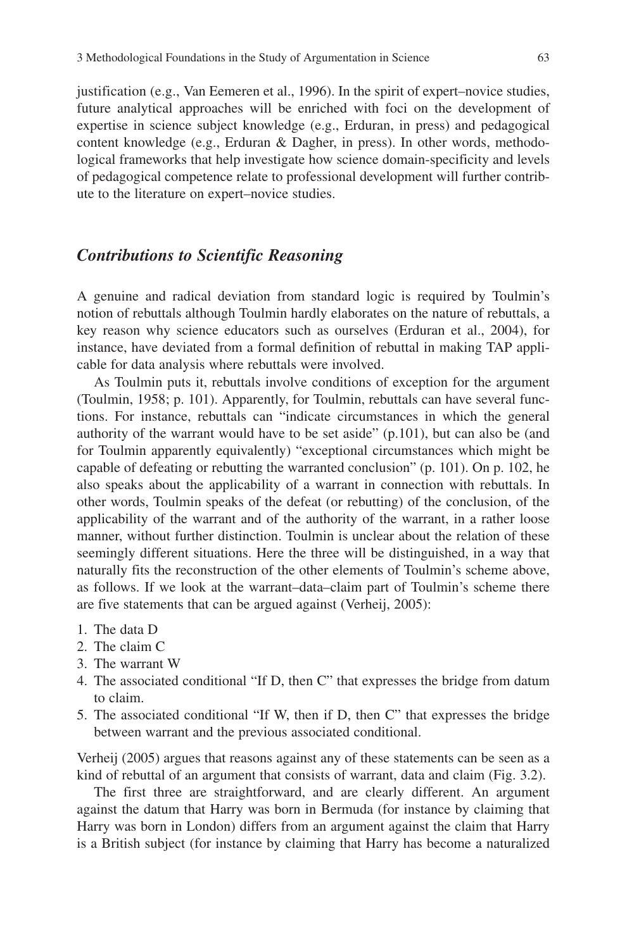justification (e.g., Van Eemeren et al., 1996). In the spirit of expert–novice studies, future analytical approaches will be enriched with foci on the development of expertise in science subject knowledge (e.g., Erduran, in press) and pedagogical content knowledge (e.g., Erduran & Dagher, in press). In other words, methodological frameworks that help investigate how science domain-specificity and levels of pedagogical competence relate to professional development will further contribute to the literature on expert–novice studies.

#### *Contributions to Scientific Reasoning*

A genuine and radical deviation from standard logic is required by Toulmin's notion of rebuttals although Toulmin hardly elaborates on the nature of rebuttals, a key reason why science educators such as ourselves (Erduran et al., 2004), for instance, have deviated from a formal definition of rebuttal in making TAP applicable for data analysis where rebuttals were involved.

As Toulmin puts it, rebuttals involve conditions of exception for the argument (Toulmin, 1958; p. 101). Apparently, for Toulmin, rebuttals can have several functions. For instance, rebuttals can "indicate circumstances in which the general authority of the warrant would have to be set aside" (p.101), but can also be (and for Toulmin apparently equivalently) "exceptional circumstances which might be capable of defeating or rebutting the warranted conclusion" (p. 101). On p. 102, he also speaks about the applicability of a warrant in connection with rebuttals. In other words, Toulmin speaks of the defeat (or rebutting) of the conclusion, of the applicability of the warrant and of the authority of the warrant, in a rather loose manner, without further distinction. Toulmin is unclear about the relation of these seemingly different situations. Here the three will be distinguished, in a way that naturally fits the reconstruction of the other elements of Toulmin's scheme above, as follows. If we look at the warrant–data–claim part of Toulmin's scheme there are five statements that can be argued against (Verheij, 2005):

- 1. The data D
- 2. The claim C
- 3. The warrant W
- 4. The associated conditional "If D, then C" that expresses the bridge from datum to claim.
- 5. The associated conditional "If W, then if D, then C" that expresses the bridge between warrant and the previous associated conditional.

Verheij (2005) argues that reasons against any of these statements can be seen as a kind of rebuttal of an argument that consists of warrant, data and claim (Fig. 3.2).

The first three are straightforward, and are clearly different. An argument against the datum that Harry was born in Bermuda (for instance by claiming that Harry was born in London) differs from an argument against the claim that Harry is a British subject (for instance by claiming that Harry has become a naturalized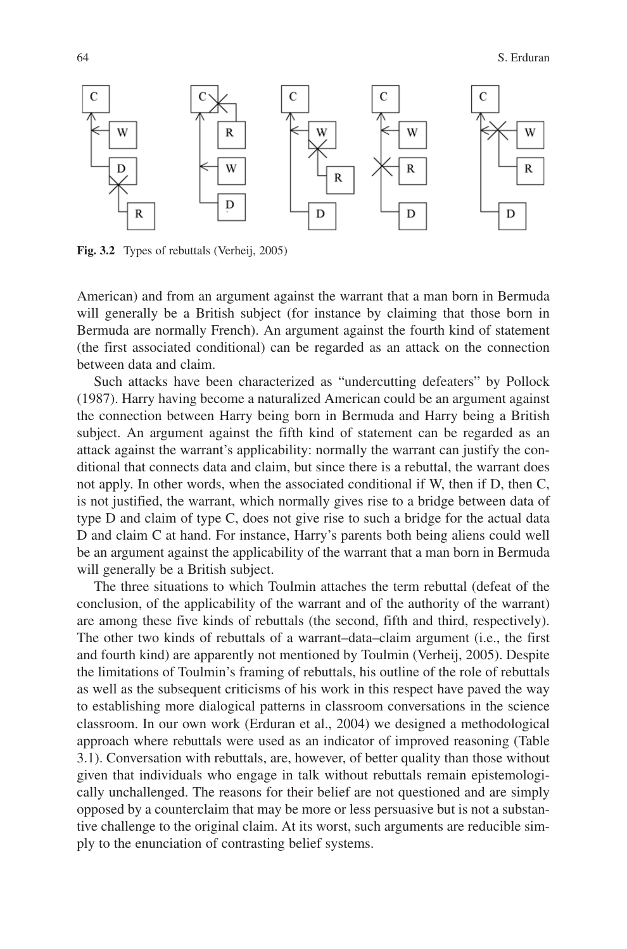

**Fig. 3.2** Types of rebuttals (Verheij, 2005)

American) and from an argument against the warrant that a man born in Bermuda will generally be a British subject (for instance by claiming that those born in Bermuda are normally French). An argument against the fourth kind of statement (the first associated conditional) can be regarded as an attack on the connection between data and claim.

Such attacks have been characterized as "undercutting defeaters" by Pollock (1987). Harry having become a naturalized American could be an argument against the connection between Harry being born in Bermuda and Harry being a British subject. An argument against the fifth kind of statement can be regarded as an attack against the warrant's applicability: normally the warrant can justify the conditional that connects data and claim, but since there is a rebuttal, the warrant does not apply. In other words, when the associated conditional if W, then if D, then C, is not justified, the warrant, which normally gives rise to a bridge between data of type D and claim of type C, does not give rise to such a bridge for the actual data D and claim C at hand. For instance, Harry's parents both being aliens could well be an argument against the applicability of the warrant that a man born in Bermuda will generally be a British subject.

The three situations to which Toulmin attaches the term rebuttal (defeat of the conclusion, of the applicability of the warrant and of the authority of the warrant) are among these five kinds of rebuttals (the second, fifth and third, respectively). The other two kinds of rebuttals of a warrant–data–claim argument (i.e., the first and fourth kind) are apparently not mentioned by Toulmin (Verheij, 2005). Despite the limitations of Toulmin's framing of rebuttals, his outline of the role of rebuttals as well as the subsequent criticisms of his work in this respect have paved the way to establishing more dialogical patterns in classroom conversations in the science classroom. In our own work (Erduran et al., 2004) we designed a methodological approach where rebuttals were used as an indicator of improved reasoning (Table 3.1). Conversation with rebuttals, are, however, of better quality than those without given that individuals who engage in talk without rebuttals remain epistemologically unchallenged. The reasons for their belief are not questioned and are simply opposed by a counterclaim that may be more or less persuasive but is not a substantive challenge to the original claim. At its worst, such arguments are reducible simply to the enunciation of contrasting belief systems.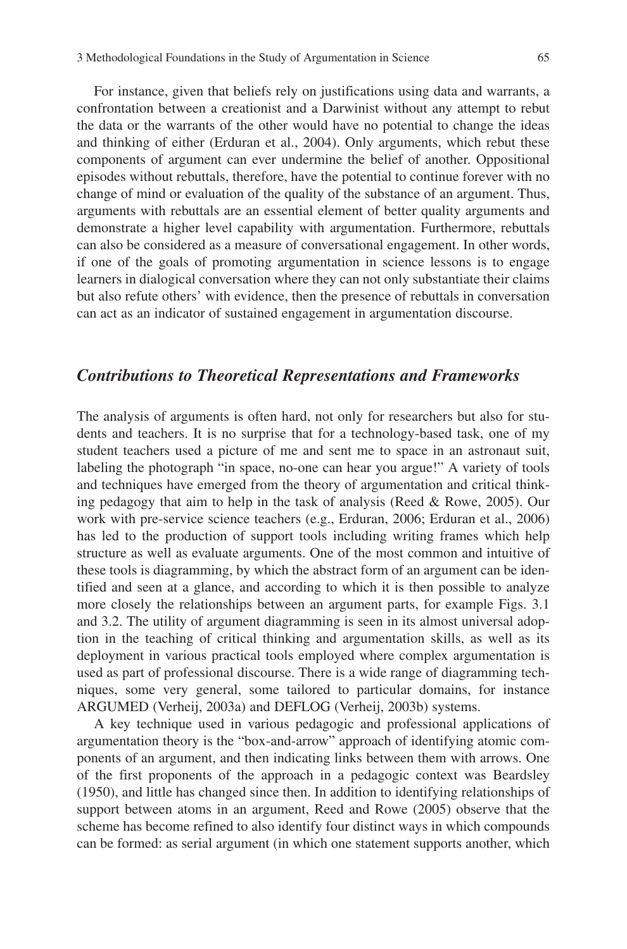For instance, given that beliefs rely on justifications using data and warrants, a confrontation between a creationist and a Darwinist without any attempt to rebut the data or the warrants of the other would have no potential to change the ideas and thinking of either (Erduran et al., 2004). Only arguments, which rebut these components of argument can ever undermine the belief of another. Oppositional episodes without rebuttals, therefore, have the potential to continue forever with no change of mind or evaluation of the quality of the substance of an argument. Thus, arguments with rebuttals are an essential element of better quality arguments and demonstrate a higher level capability with argumentation. Furthermore, rebuttals can also be considered as a measure of conversational engagement. In other words, if one of the goals of promoting argumentation in science lessons is to engage learners in dialogical conversation where they can not only substantiate their claims but also refute others' with evidence, then the presence of rebuttals in conversation can act as an indicator of sustained engagement in argumentation discourse.

#### *Contributions to Theoretical Representations and Frameworks*

The analysis of arguments is often hard, not only for researchers but also for students and teachers. It is no surprise that for a technology-based task, one of my student teachers used a picture of me and sent me to space in an astronaut suit, labeling the photograph "in space, no-one can hear you argue!" A variety of tools and techniques have emerged from the theory of argumentation and critical thinking pedagogy that aim to help in the task of analysis (Reed & Rowe, 2005). Our work with pre-service science teachers (e.g., Erduran, 2006; Erduran et al., 2006) has led to the production of support tools including writing frames which help structure as well as evaluate arguments. One of the most common and intuitive of these tools is diagramming, by which the abstract form of an argument can be identified and seen at a glance, and according to which it is then possible to analyze more closely the relationships between an argument parts, for example Figs. 3.1 and 3.2. The utility of argument diagramming is seen in its almost universal adoption in the teaching of critical thinking and argumentation skills, as well as its deployment in various practical tools employed where complex argumentation is used as part of professional discourse. There is a wide range of diagramming techniques, some very general, some tailored to particular domains, for instance ARGUMED (Verheij, 2003a) and DEFLOG (Verheij, 2003b) systems.

A key technique used in various pedagogic and professional applications of argumentation theory is the "box-and-arrow" approach of identifying atomic components of an argument, and then indicating links between them with arrows. One of the first proponents of the approach in a pedagogic context was Beardsley (1950), and little has changed since then. In addition to identifying relationships of support between atoms in an argument, Reed and Rowe (2005) observe that the scheme has become refined to also identify four distinct ways in which compounds can be formed: as serial argument (in which one statement supports another, which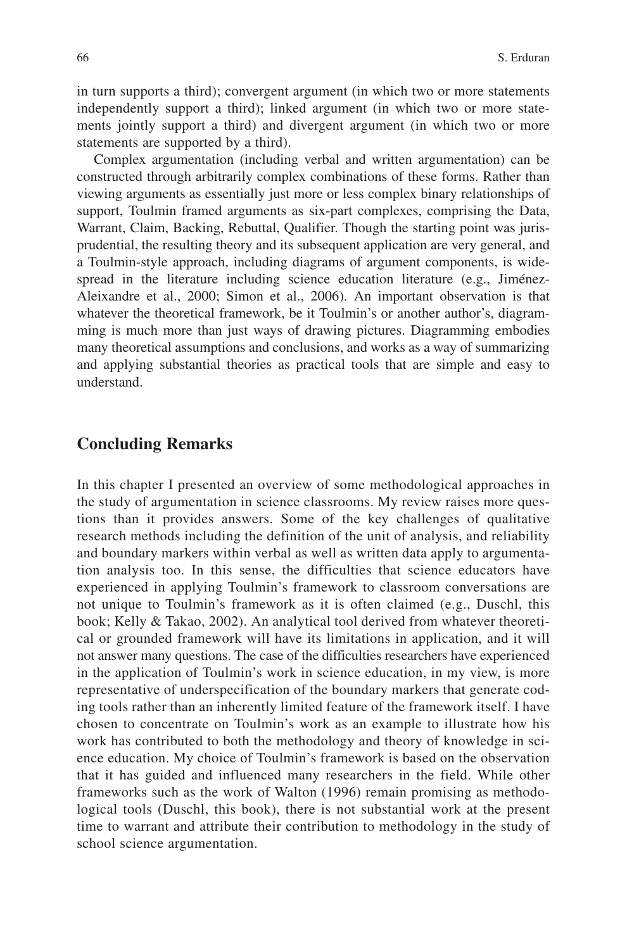in turn supports a third); convergent argument (in which two or more statements independently support a third); linked argument (in which two or more statements jointly support a third) and divergent argument (in which two or more statements are supported by a third).

Complex argumentation (including verbal and written argumentation) can be constructed through arbitrarily complex combinations of these forms. Rather than viewing arguments as essentially just more or less complex binary relationships of support, Toulmin framed arguments as six-part complexes, comprising the Data, Warrant, Claim, Backing, Rebuttal, Qualifier. Though the starting point was jurisprudential, the resulting theory and its subsequent application are very general, and a Toulmin-style approach, including diagrams of argument components, is widespread in the literature including science education literature (e.g., Jiménez-Aleixandre et al., 2000; Simon et al., 2006). An important observation is that whatever the theoretical framework, be it Toulmin's or another author's, diagramming is much more than just ways of drawing pictures. Diagramming embodies many theoretical assumptions and conclusions, and works as a way of summarizing and applying substantial theories as practical tools that are simple and easy to understand.

#### **Concluding Remarks**

In this chapter I presented an overview of some methodological approaches in the study of argumentation in science classrooms. My review raises more questions than it provides answers. Some of the key challenges of qualitative research methods including the definition of the unit of analysis, and reliability and boundary markers within verbal as well as written data apply to argumentation analysis too. In this sense, the difficulties that science educators have experienced in applying Toulmin's framework to classroom conversations are not unique to Toulmin's framework as it is often claimed (e.g., Duschl, this book; Kelly & Takao, 2002). An analytical tool derived from whatever theoretical or grounded framework will have its limitations in application, and it will not answer many questions. The case of the difficulties researchers have experienced in the application of Toulmin's work in science education, in my view, is more representative of underspecification of the boundary markers that generate coding tools rather than an inherently limited feature of the framework itself. I have chosen to concentrate on Toulmin's work as an example to illustrate how his work has contributed to both the methodology and theory of knowledge in science education. My choice of Toulmin's framework is based on the observation that it has guided and influenced many researchers in the field. While other frameworks such as the work of Walton (1996) remain promising as methodological tools (Duschl, this book), there is not substantial work at the present time to warrant and attribute their contribution to methodology in the study of school science argumentation.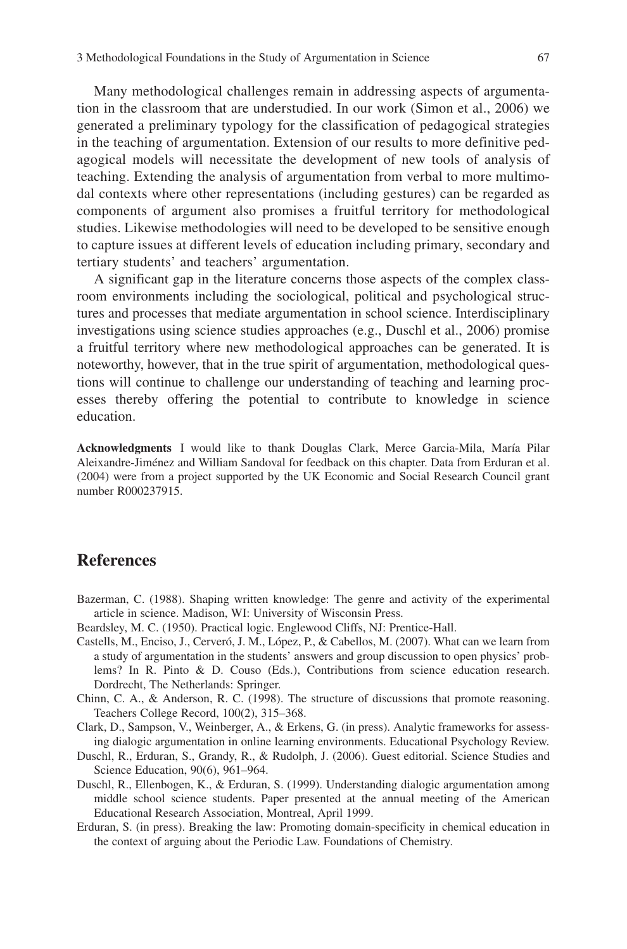Many methodological challenges remain in addressing aspects of argumentation in the classroom that are understudied. In our work (Simon et al., 2006) we generated a preliminary typology for the classification of pedagogical strategies in the teaching of argumentation. Extension of our results to more definitive pedagogical models will necessitate the development of new tools of analysis of teaching. Extending the analysis of argumentation from verbal to more multimodal contexts where other representations (including gestures) can be regarded as components of argument also promises a fruitful territory for methodological studies. Likewise methodologies will need to be developed to be sensitive enough to capture issues at different levels of education including primary, secondary and tertiary students' and teachers' argumentation.

A significant gap in the literature concerns those aspects of the complex classroom environments including the sociological, political and psychological structures and processes that mediate argumentation in school science. Interdisciplinary investigations using science studies approaches (e.g., Duschl et al., 2006) promise a fruitful territory where new methodological approaches can be generated. It is noteworthy, however, that in the true spirit of argumentation, methodological questions will continue to challenge our understanding of teaching and learning processes thereby offering the potential to contribute to knowledge in science education.

**Acknowledgments** I would like to thank Douglas Clark, Merce Garcia-Mila, María Pilar Aleixandre-Jiménez and William Sandoval for feedback on this chapter. Data from Erduran et al. (2004) were from a project supported by the UK Economic and Social Research Council grant number R000237915.

### **References**

- Bazerman, C. (1988). Shaping written knowledge: The genre and activity of the experimental article in science. Madison, WI: University of Wisconsin Press.
- Beardsley, M. C. (1950). Practical logic. Englewood Cliffs, NJ: Prentice-Hall.
- Castells, M., Enciso, J., Cerveró, J. M., López, P., & Cabellos, M. (2007). What can we learn from a study of argumentation in the students' answers and group discussion to open physics' problems? In R. Pinto & D. Couso (Eds.), Contributions from science education research. Dordrecht, The Netherlands: Springer.
- Chinn, C. A., & Anderson, R. C. (1998). The structure of discussions that promote reasoning. Teachers College Record, 100(2), 315–368.
- Clark, D., Sampson, V., Weinberger, A., & Erkens, G. (in press). Analytic frameworks for assessing dialogic argumentation in online learning environments. Educational Psychology Review.
- Duschl, R., Erduran, S., Grandy, R., & Rudolph, J. (2006). Guest editorial. Science Studies and Science Education, 90(6), 961–964.
- Duschl, R., Ellenbogen, K., & Erduran, S. (1999). Understanding dialogic argumentation among middle school science students. Paper presented at the annual meeting of the American Educational Research Association, Montreal, April 1999.
- Erduran, S. (in press). Breaking the law: Promoting domain-specificity in chemical education in the context of arguing about the Periodic Law. Foundations of Chemistry.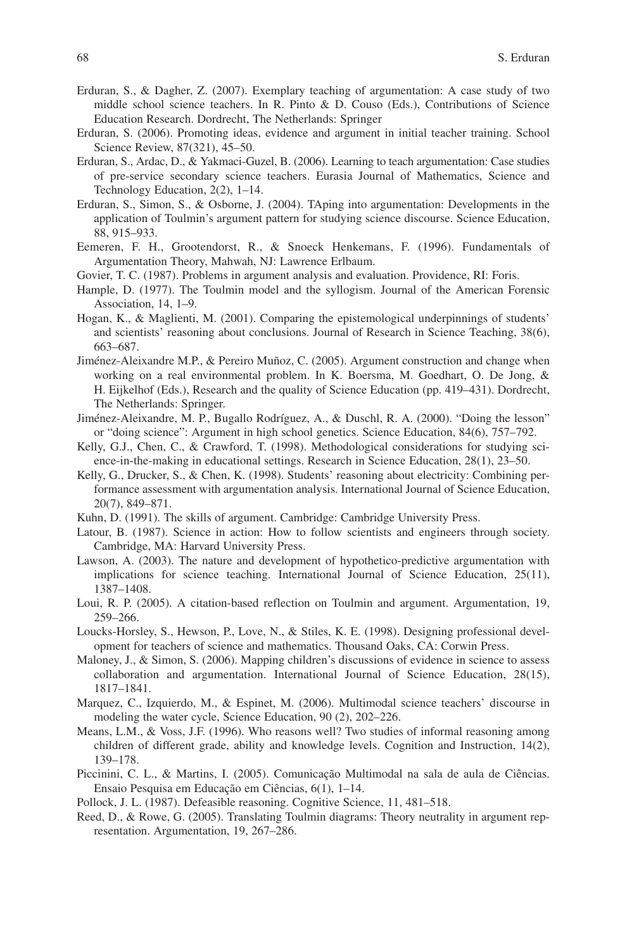- Erduran, S., & Dagher, Z. (2007). Exemplary teaching of argumentation: A case study of two middle school science teachers. In R. Pinto & D. Couso (Eds.), Contributions of Science Education Research. Dordrecht, The Netherlands: Springer
- Erduran, S. (2006). Promoting ideas, evidence and argument in initial teacher training. School Science Review, 87(321), 45–50.
- Erduran, S., Ardac, D., & Yakmaci-Guzel, B. (2006). Learning to teach argumentation: Case studies of pre-service secondary science teachers. Eurasia Journal of Mathematics, Science and Technology Education, 2(2), 1–14.
- Erduran, S., Simon, S., & Osborne, J. (2004). TAping into argumentation: Developments in the application of Toulmin's argument pattern for studying science discourse. Science Education, 88, 915–933.
- Eemeren, F. H., Grootendorst, R., & Snoeck Henkemans, F. (1996). Fundamentals of Argumentation Theory, Mahwah, NJ: Lawrence Erlbaum.
- Govier, T. C. (1987). Problems in argument analysis and evaluation. Providence, RI: Foris.
- Hample, D. (1977). The Toulmin model and the syllogism. Journal of the American Forensic Association, 14, 1–9.
- Hogan, K., & Maglienti, M. (2001). Comparing the epistemological underpinnings of students' and scientists' reasoning about conclusions. Journal of Research in Science Teaching, 38(6), 663–687.
- Jiménez-Aleixandre M.P., & Pereiro Muñoz, C. (2005). Argument construction and change when working on a real environmental problem. In K. Boersma, M. Goedhart, O. De Jong, & H. Eijkelhof (Eds.), Research and the quality of Science Education (pp. 419–431). Dordrecht, The Netherlands: Springer.
- Jiménez-Aleixandre, M. P., Bugallo Rodríguez, A., & Duschl, R. A. (2000). "Doing the lesson" or "doing science": Argument in high school genetics. Science Education, 84(6), 757–792.
- Kelly, G.J., Chen, C., & Crawford, T. (1998). Methodological considerations for studying science-in-the-making in educational settings. Research in Science Education, 28(1), 23–50.
- Kelly, G., Drucker, S., & Chen, K. (1998). Students' reasoning about electricity: Combining performance assessment with argumentation analysis. International Journal of Science Education, 20(7), 849–871.
- Kuhn, D. (1991). The skills of argument. Cambridge: Cambridge University Press.
- Latour, B. (1987). Science in action: How to follow scientists and engineers through society. Cambridge, MA: Harvard University Press.
- Lawson, A. (2003). The nature and development of hypothetico-predictive argumentation with implications for science teaching. International Journal of Science Education, 25(11), 1387–1408.
- Loui, R. P. (2005). A citation-based reflection on Toulmin and argument. Argumentation, 19, 259–266.
- Loucks-Horsley, S., Hewson, P., Love, N., & Stiles, K. E. (1998). Designing professional development for teachers of science and mathematics. Thousand Oaks, CA: Corwin Press.
- Maloney, J., & Simon, S. (2006). Mapping children's discussions of evidence in science to assess collaboration and argumentation. International Journal of Science Education, 28(15), 1817–1841.
- Marquez, C., Izquierdo, M., & Espinet, M. (2006). Multimodal science teachers' discourse in modeling the water cycle, Science Education, 90 (2), 202–226.
- Means, L.M., & Voss, J.F. (1996). Who reasons well? Two studies of informal reasoning among children of different grade, ability and knowledge levels. Cognition and Instruction, 14(2), 139–178.
- Piccinini, C. L., & Martins, I. (2005). Comunicação Multimodal na sala de aula de Ciências. Ensaio Pesquisa em Educação em Ciências, 6(1), 1–14.
- Pollock, J. L. (1987). Defeasible reasoning. Cognitive Science, 11, 481–518.
- Reed, D., & Rowe, G. (2005). Translating Toulmin diagrams: Theory neutrality in argument representation. Argumentation, 19, 267–286.